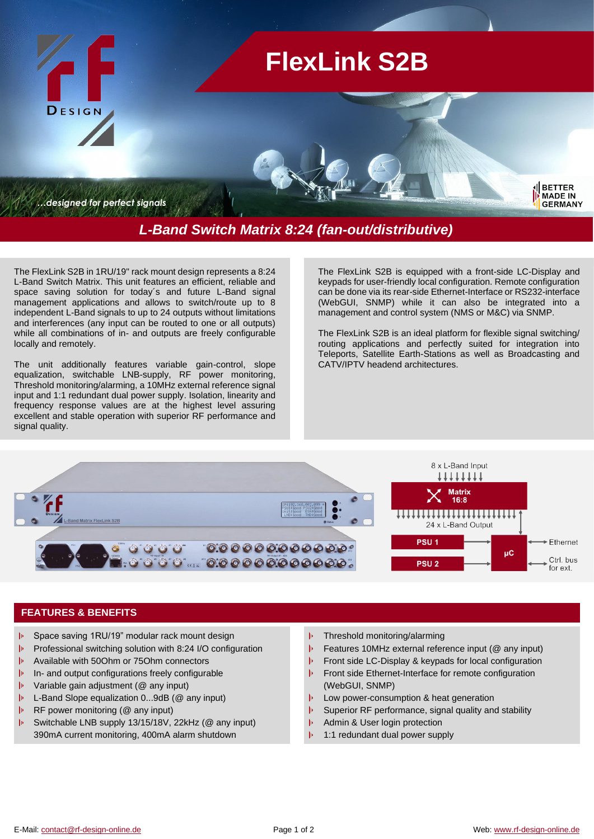

The FlexLink S2B in 1RU/19" rack mount design represents a 8:24 L-Band Switch Matrix. This unit features an efficient, reliable and space saving solution for today´s and future L-Band signal management applications and allows to switch/route up to 8 independent L-Band signals to up to 24 outputs without limitations and interferences (any input can be routed to one or all outputs) while all combinations of in- and outputs are freely configurable locally and remotely.

The unit additionally features variable gain-control, slope equalization, switchable LNB-supply, RF power monitoring, Threshold monitoring/alarming, a 10MHz external reference signal input and 1:1 redundant dual power supply. Isolation, linearity and frequency response values are at the highest level assuring excellent and stable operation with superior RF performance and signal quality.

The FlexLink S2B is equipped with a front-side LC-Display and keypads for user-friendly local configuration. Remote configuration can be done via its rear-side Ethernet-Interface or RS232-interface (WebGUI, SNMP) while it can also be integrated into a management and control system (NMS or M&C) via SNMP.

The FlexLink S2B is an ideal platform for flexible signal switching/ routing applications and perfectly suited for integration into Teleports, Satellite Earth-Stations as well as Broadcasting and CATV/IPTV headend architectures.



## **FEATURES & BENEFITS**

- Space saving 1RU/19" modular rack mount design
- Professional switching solution with 8:24 I/O configuration
- b Available with 50Ohm or 75Ohm connectors
- b In- and output configurations freely configurable
- $\mathbf{b}$ Variable gain adjustment (@ any input)
- b L-Band Slope equalization 0...9dB (@ any input)
- $|p|$ RF power monitoring (@ any input)
- þ Switchable LNB supply 13/15/18V, 22kHz (@ any input) 390mA current monitoring, 400mA alarm shutdown
- $|p|$ Threshold monitoring/alarming
- $\left\vert \mathbf{p}\right\vert$ Features 10MHz external reference input (@ any input)
- $\vert \mathbf{p} \vert$ Front side LC-Display & keypads for local configuration
- $\vert \mathbf{p} \vert$ Front side Ethernet-Interface for remote configuration (WebGUI, SNMP)
- $\vert \mathbf{b} \vert$ Low power-consumption & heat generation
- $\| \mathbf{b} \|$ Superior RF performance, signal quality and stability
- Ъ Admin & User login protection
- þ 1:1 redundant dual power supply